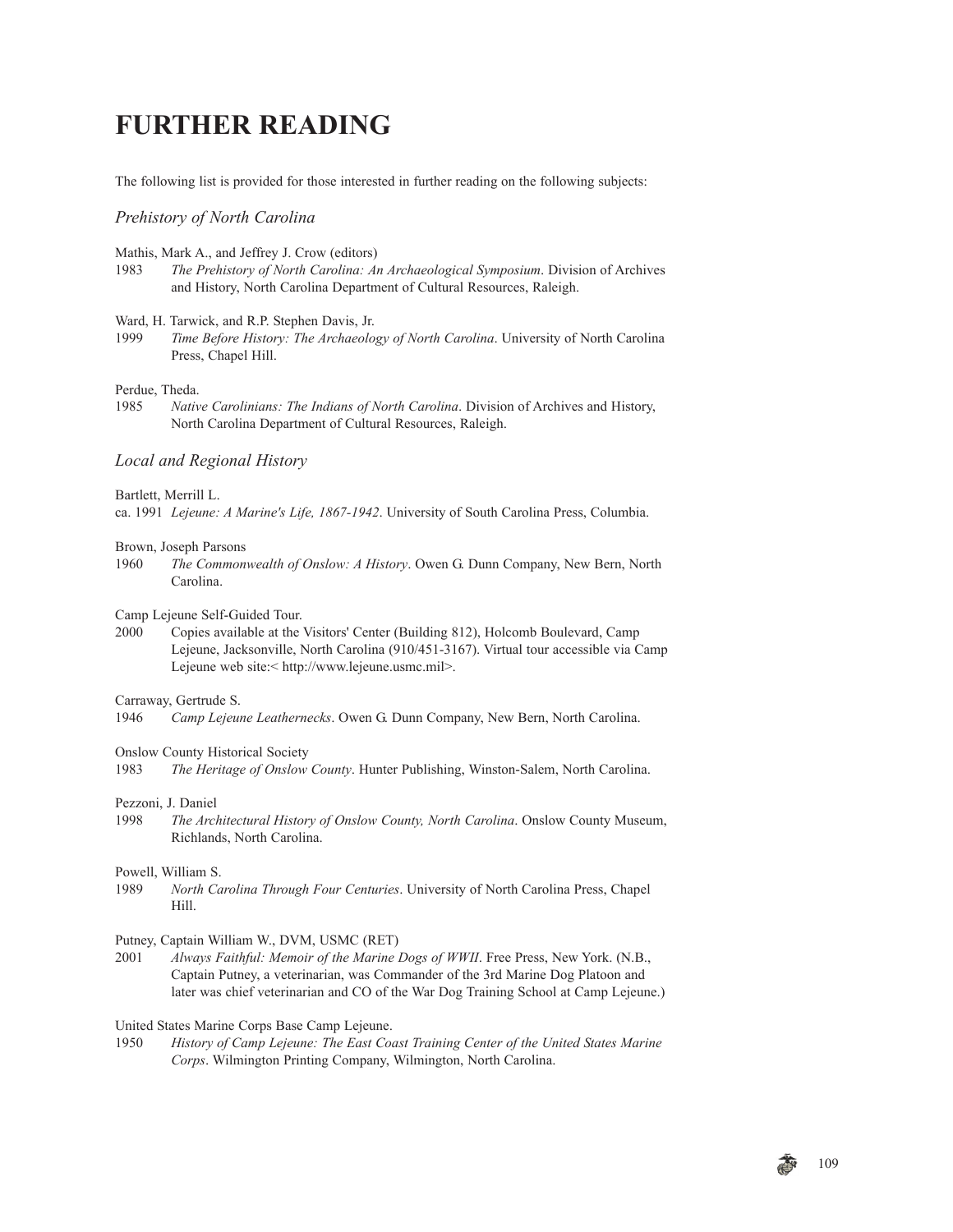# **FURTHER READING**

The following list is provided for those interested in further reading on the following subjects:

## *Prehistory of North Carolina*

Mathis, Mark A., and Jeffrey J. Crow (editors)

1983 *The Prehistory of North Carolina: An Archaeological Symposium*. Division of Archives and History, North Carolina Department of Cultural Resources, Raleigh.

## Ward, H. Tarwick, and R.P. Stephen Davis, Jr.

1999 *Time Before History: The Archaeology of North Carolina*. University of North Carolina Press, Chapel Hill.

## Perdue, Theda.

1985 *Native Carolinians: The Indians of North Carolina*. Division of Archives and History, North Carolina Department of Cultural Resources, Raleigh.

## *Local and Regional History*

## Bartlett, Merrill L.

ca. 1991 *Lejeune: A Marine's Life, 1867-1942*. University of South Carolina Press, Columbia.

## Brown, Joseph Parsons

1960 *The Commonwealth of Onslow: A History*. Owen G. Dunn Company, New Bern, North Carolina.

Camp Lejeune Self-Guided Tour.

2000 Copies available at the Visitors' Center (Building 812), Holcomb Boulevard, Camp Lejeune, Jacksonville, North Carolina (910/451-3167). Virtual tour accessible via Camp Lejeune web site:< http://www.lejeune.usmc.mil>.

Carraway, Gertrude S.

1946 *Camp Lejeune Leathernecks*. Owen G. Dunn Company, New Bern, North Carolina.

Onslow County Historical Society

1983 *The Heritage of Onslow County*. Hunter Publishing, Winston-Salem, North Carolina.

#### Pezzoni, J. Daniel

1998 *The Architectural History of Onslow County, North Carolina*. Onslow County Museum, Richlands, North Carolina.

#### Powell, William S.

1989 *North Carolina Through Four Centuries*. University of North Carolina Press, Chapel Hill.

## Putney, Captain William W., DVM, USMC (RET)

2001 *Always Faithful: Memoir of the Marine Dogs of WWII*. Free Press, New York. (N.B., Captain Putney, a veterinarian, was Commander of the 3rd Marine Dog Platoon and later was chief veterinarian and CO of the War Dog Training School at Camp Lejeune.)

#### United States Marine Corps Base Camp Lejeune.

1950 *History of Camp Lejeune: The East Coast Training Center of the United States Marine Corps*. Wilmington Printing Company, Wilmington, North Carolina.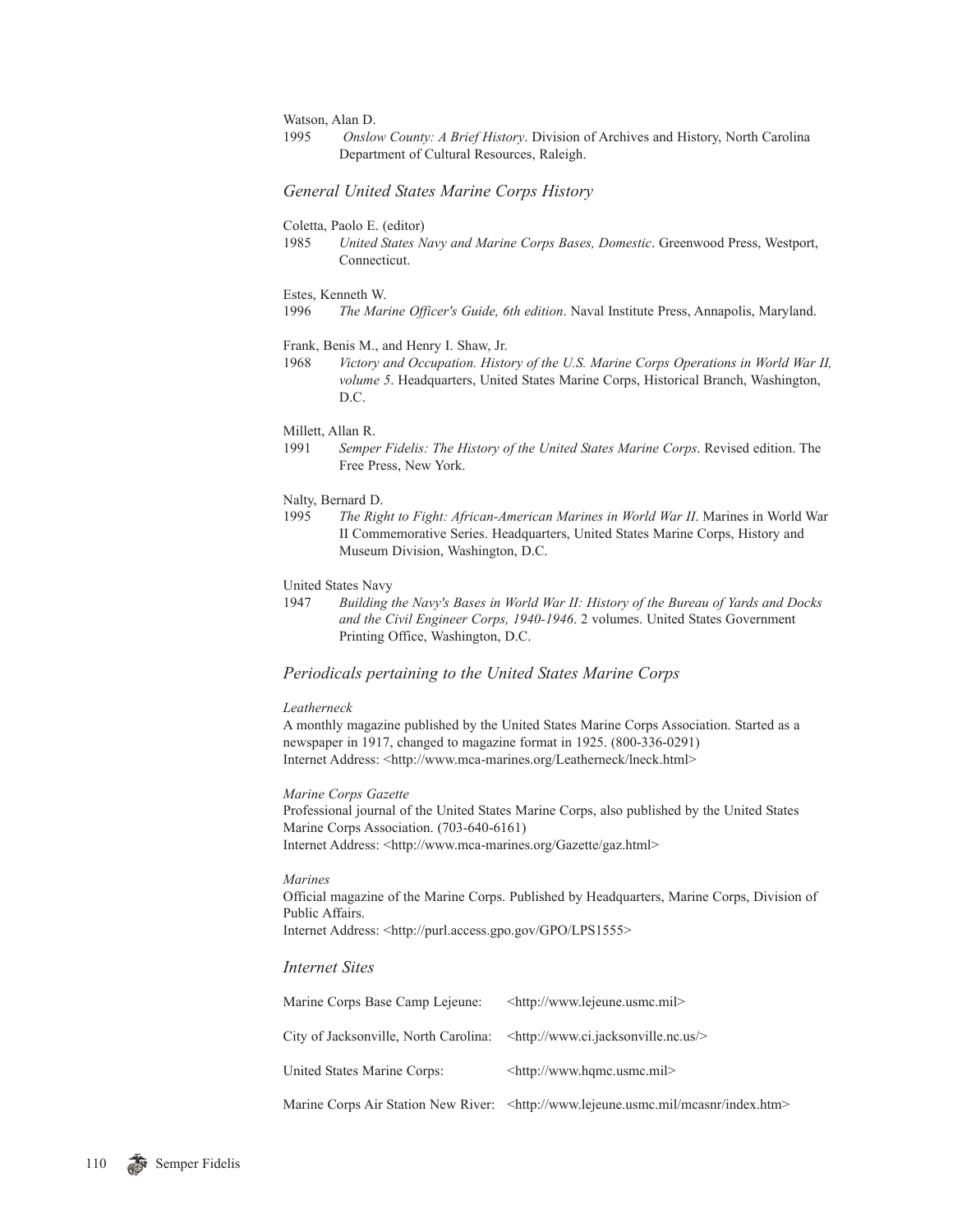Watson, Alan D.

1995 *Onslow County: A Brief History*. Division of Archives and History, North Carolina Department of Cultural Resources, Raleigh.

## *General United States Marine Corps History*

Coletta, Paolo E. (editor)

1985 *United States Navy and Marine Corps Bases, Domestic*. Greenwood Press, Westport, Connecticut.

#### Estes, Kenneth W.

1996 *The Marine Officer's Guide, 6th edition*. Naval Institute Press, Annapolis, Maryland.

## Frank, Benis M., and Henry I. Shaw, Jr.

1968 *Victory and Occupation. History of the U.S. Marine Corps Operations in World War II, volume 5*. Headquarters, United States Marine Corps, Historical Branch, Washington, D.C.

#### Millett, Allan R.

1991 *Semper Fidelis: The History of the United States Marine Corps*. Revised edition. The Free Press, New York.

#### Nalty, Bernard D.

1995 *The Right to Fight: African-American Marines in World War II*. Marines in World War II Commemorative Series. Headquarters, United States Marine Corps, History and Museum Division, Washington, D.C.

#### United States Navy

1947 *Building the Navy's Bases in World War II: History of the Bureau of Yards and Docks and the Civil Engineer Corps, 1940-1946*. 2 volumes. United States Government Printing Office, Washington, D.C.

## *Periodicals pertaining to the United States Marine Corps*

## *Leatherneck*

A monthly magazine published by the United States Marine Corps Association. Started as a newspaper in 1917, changed to magazine format in 1925. (800-336-0291) Internet Address: <http://www.mca-marines.org/Leatherneck/lneck.html>

## *Marine Corps Gazette*

Professional journal of the United States Marine Corps, also published by the United States Marine Corps Association. (703-640-6161) Internet Address: <http://www.mca-marines.org/Gazette/gaz.html>

## *Marines*

Official magazine of the Marine Corps. Published by Headquarters, Marine Corps, Division of Public Affairs.

Internet Address: <http://purl.access.gpo.gov/GPO/LPS1555>

## *Internet Sites*

| Marine Corps Base Camp Lejeune:                                                                  | <http: www.lejeune.usmc.mil=""></http:>                                                            |
|--------------------------------------------------------------------------------------------------|----------------------------------------------------------------------------------------------------|
| City of Jacksonville, North Carolina: $\langle \text{http://www.ci.jacksonville.no.us/>}\rangle$ |                                                                                                    |
| United States Marine Corps:                                                                      | $\text{th}(t)$ //www.hqmc.usmc.mil>                                                                |
|                                                                                                  | Marine Corps Air Station New River: <http: index.htm="" mcasnr="" www.lejeune.usmc.mil=""></http:> |